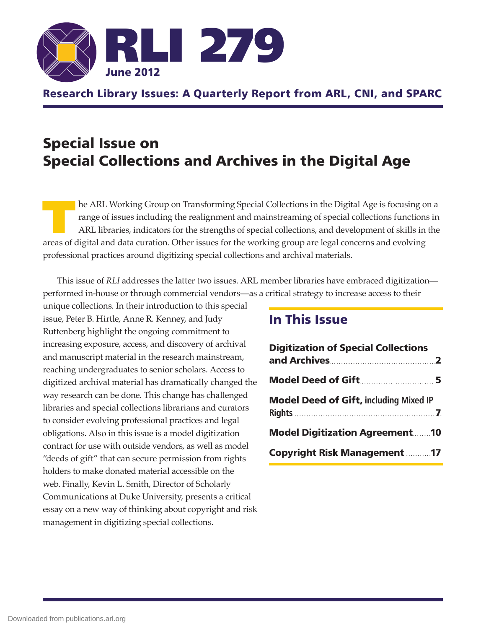

# Research Library Issues: A Quarterly Report from ARL, CNI, and SPARC

# Special Issue on Special Collections and Archives in the Digital Age

he ARL Working Group on Transforming Special Collections in the Digital Age is focusing on a range of issues including the realignment and mainstreaming of special collections functions in ARL libraries, indicators for the strengths of special collections, and development of skills in the areas of digital and data curation. Other issues for the working group are legal concerns and evolving professional practices around digitizing special collections and archival materials.

This issue of *RLI* addresses the latter two issues. ARL member libraries have embraced digitization performed in-house or through commercial vendors—as a critical strategy to increase access to their

unique collections. In their introduction to this special issue, Peter B. Hirtle, Anne R. Kenney, and Judy Ruttenberg highlight the ongoing commitment to increasing exposure, access, and discovery of archival and manuscript material in the research mainstream, reaching undergraduates to senior scholars. Access to digitized archival material has dramatically changed the way research can be done. This change has challenged libraries and special collections librarians and curators to consider evolving professional practices and legal obligations. Also in this issue is a model digitization contract for use with outside vendors, as well as model "deeds of gift" that can secure permission from rights holders to make donated material accessible on the web. Finally, Kevin L. Smith, Director of Scholarly Communications at Duke University, presents a critical essay on a new way of thinking about copyright and risk management in digitizing special collections.

# In This Issue

| <b>Digitization of Special Collections</b>    |
|-----------------------------------------------|
| <b>Model Deed of Gift5</b>                    |
| <b>Model Deed of Gift, including Mixed IP</b> |
| <b>Model Digitization Agreement10</b>         |
| <b>Copyright Risk Management 17</b>           |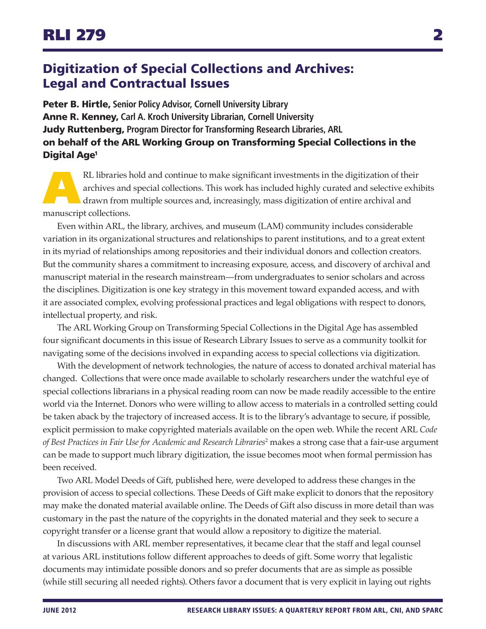# <span id="page-1-0"></span>Digitization of Special Collections and Archives: Legal and Contractual Issues

Peter B. Hirtle, **Senior Policy Advisor, Cornell University Library** Anne R. Kenney, **Carl A. Kroch University Librarian, Cornell University** Judy Ruttenberg, **Program Director for Transforming Research Libraries, ARL** on behalf of the ARL Working Group on Transforming Special Collections in the Digital Ag[e1](#page-2-0)

RL libraries hold and continue to make significant investments in the digitization of their archives and special collections. This work has included highly curated and selective exhibit drawn from multiple sources and, inc archives and special collections. This work has included highly curated and selective exhibits drawn from multiple sources and, increasingly, mass digitization of entire archival and manuscript collections.

Even within ARL, the library, archives, and museum (LAM) community includes considerable variation in its organizational structures and relationships to parent institutions, and to a great extent in its myriad of relationships among repositories and their individual donors and collection creators. But the community shares a commitment to increasing exposure, access, and discovery of archival and manuscript material in the research mainstream—from undergraduates to senior scholars and across the disciplines. Digitization is one key strategy in this movement toward expanded access, and with it are associated complex, evolving professional practices and legal obligations with respect to donors, intellectual property, and risk.

The ARL Working Group on Transforming Special Collections in the Digital Age has assembled four significant documents in this issue of Research Library Issues to serve as a community toolkit for navigating some of the decisions involved in expanding access to special collections via digitization.

With the development of network technologies, the nature of access to donated archival material has changed. Collections that were once made available to scholarly researchers under the watchful eye of special collections librarians in a physical reading room can now be made readily accessible to the entire world via the Internet. Donors who were willing to allow access to materials in a controlled setting could be taken aback by the trajectory of increased access. It is to the library's advantage to secure, if possible, explicit permission to make copyrighted materials available on the open web. While the recent ARL *Code of Best Practices in Fair Use for Academic and Research Libraries*[2](#page-2-1) makes a strong case that a fair-use argument can be made to support much library digitization, the issue becomes moot when formal permission has been received.

Two ARL Model Deeds of Gift, published here, were developed to address these changes in the provision of access to special collections. These Deeds of Gift make explicit to donors that the repository may make the donated material available online. The Deeds of Gift also discuss in more detail than was customary in the past the nature of the copyrights in the donated material and they seek to secure a copyright transfer or a license grant that would allow a repository to digitize the material.

In discussions with ARL member representatives, it became clear that the staff and legal counsel at various ARL institutions follow different approaches to deeds of gift. Some worry that legalistic documents may intimidate possible donors and so prefer documents that are as simple as possible (while still securing all needed rights). Others favor a document that is very explicit in laying out rights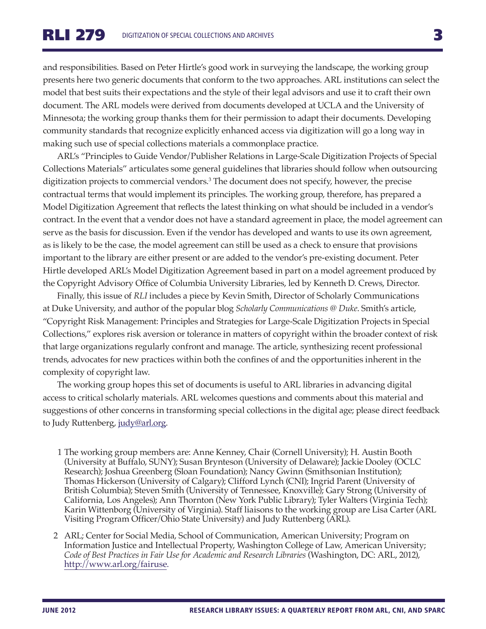and responsibilities. Based on Peter Hirtle's good work in surveying the landscape, the working group presents here two generic documents that conform to the two approaches. ARL institutions can select the model that best suits their expectations and the style of their legal advisors and use it to craft their own document. The ARL models were derived from documents developed at UCLA and the University of Minnesota; the working group thanks them for their permission to adapt their documents. Developing community standards that recognize explicitly enhanced access via digitization will go a long way in making such use of special collections materials a commonplace practice.

ARL's "Principles to Guide Vendor/Publisher Relations in Large-Scale Digitization Projects of Special Collections Materials" articulates some general guidelines that libraries should follow when outsourcing digitization projects to commercial vendors[.3](#page-3-0) The document does not specify, however, the precise contractual terms that would implement its principles. The working group, therefore, has prepared a Model Digitization Agreement that reflects the latest thinking on what should be included in a vendor's contract. In the event that a vendor does not have a standard agreement in place, the model agreement can serve as the basis for discussion. Even if the vendor has developed and wants to use its own agreement, as is likely to be the case, the model agreement can still be used as a check to ensure that provisions important to the library are either present or are added to the vendor's pre-existing document. Peter Hirtle developed ARL's Model Digitization Agreement based in part on a model agreement produced by the Copyright Advisory Office of Columbia University Libraries, led by Kenneth D. Crews, Director.

Finally, this issue of *RLI* includes a piece by Kevin Smith, Director of Scholarly Communications at Duke University, and author of the popular blog *Scholarly Communications @ Duke*. Smith's article, "Copyright Risk Management: Principles and Strategies for Large-Scale Digitization Projects in Special Collections," explores risk aversion or tolerance in matters of copyright within the broader context of risk that large organizations regularly confront and manage. The article, synthesizing recent professional trends, advocates for new practices within both the confines of and the opportunities inherent in the complexity of copyright law.

The working group hopes this set of documents is useful to ARL libraries in advancing digital access to critical scholarly materials. ARL welcomes questions and comments about this material and suggestions of other concerns in transforming special collections in the digital age; please direct feedback to Judy Ruttenberg, [judy@arl.org.](mailto:judy@arl.org)

- <span id="page-2-0"></span> 1 The working group members are: Anne Kenney, Chair (Cornell University); H. Austin Booth (University at Buffalo, SUNY); Susan Brynteson (University of Delaware); Jackie Dooley (OCLC Research); Joshua Greenberg (Sloan Foundation); Nancy Gwinn (Smithsonian Institution); Thomas Hickerson (University of Calgary); Clifford Lynch (CNI); Ingrid Parent (University of British Columbia); Steven Smith (University of Tennessee, Knoxville); Gary Strong (University of California, Los Angeles); Ann Thornton (New York Public Library); Tyler Walters (Virginia Tech); Karin Wittenborg (University of Virginia). Staff liaisons to the working group are Lisa Carter (ARL Visiting Program Officer/Ohio State University) and Judy Ruttenberg (ARL).
- <span id="page-2-1"></span>2 ARL; Center for Social Media, School of Communication, American University; Program on Information Justice and Intellectual Property, Washington College of Law, American University; *Code of Best Practices in Fair Use for Academic and Research Libraries* (Washington, DC: ARL, 2012), <http://www.arl.org/fairuse>.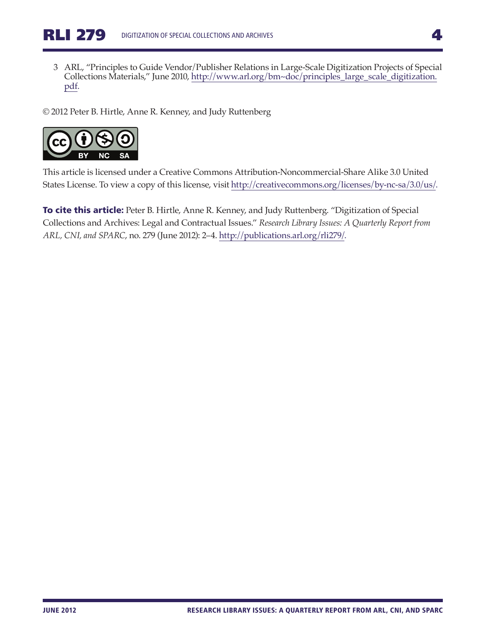<span id="page-3-0"></span>3 ARL, "Principles to Guide Vendor/Publisher Relations in Large-Scale Digitization Projects of Special Collections Materials," June 2010, [http://www.arl.org/bm~doc/principles\\_large\\_scale\\_digitization.](http://www.arl.org/bm~doc/principles_large_scale_digitization.pdf) [pdf.](http://www.arl.org/bm~doc/principles_large_scale_digitization.pdf)

© 2012 Peter B. Hirtle, Anne R. Kenney, and Judy Ruttenberg



This article is licensed under a Creative Commons Attribution-Noncommercial-Share Alike 3.0 United States License. To view a copy of this license, visit<http://creativecommons.org/licenses/by-nc-sa/3.0/us/>.

To cite this article: Peter B. Hirtle, Anne R. Kenney, and Judy Ruttenberg. "Digitization of Special Collections and Archives: Legal and Contractual Issues." *Research Library Issues: A Quarterly Report from ARL, CNI, and SPARC*, no. 279 (June 2012): 2–4. [http://publications.arl.org/rli279/.](http://publications.arl.org/rli279/)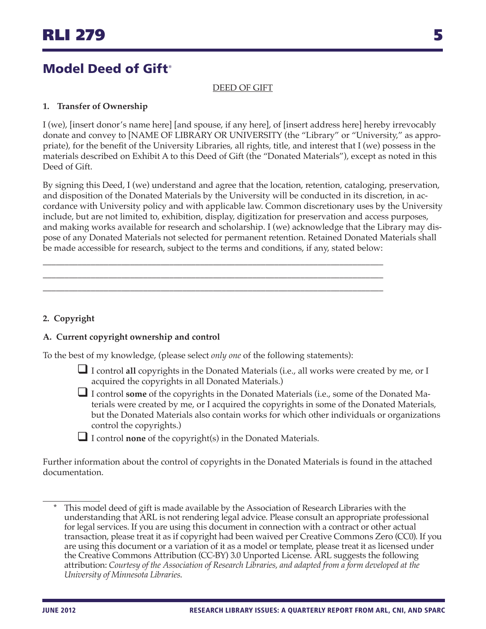## DEED OF GIFT

## <span id="page-4-0"></span>**1. Transfer of Ownership**

I (we), [insert donor's name here] [and spouse, if any here], of [insert address here] hereby irrevocably donate and convey to [NAME OF LIBRARY OR UNIVERSITY (the "Library" or "University," as appropriate), for the benefit of the University Libraries, all rights, title, and interest that I (we) possess in the materials described on Exhibit A to this Deed of Gift (the "Donated Materials"), except as noted in this Deed of Gift.

By signing this Deed, I (we) understand and agree that the location, retention, cataloging, preservation, and disposition of the Donated Materials by the University will be conducted in its discretion, in accordance with University policy and with applicable law. Common discretionary uses by the University include, but are not limited to, exhibition, display, digitization for preservation and access purposes, and making works available for research and scholarship. I (we) acknowledge that the Library may dispose of any Donated Materials not selected for permanent retention. Retained Donated Materials shall be made accessible for research, subject to the terms and conditions, if any, stated below:

## **2. Copyright**

## **A. Current copyright ownership and control**

To the best of my knowledge, (please select *only one* of the following statements):

\_\_\_\_\_\_\_\_\_\_\_\_\_\_\_\_\_\_\_\_\_\_\_\_\_\_\_\_\_\_\_\_\_\_\_\_\_\_\_\_\_\_\_\_\_\_\_\_\_\_\_\_\_\_\_\_\_\_\_\_\_\_\_\_\_\_\_\_\_\_\_\_\_\_\_\_\_\_ \_\_\_\_\_\_\_\_\_\_\_\_\_\_\_\_\_\_\_\_\_\_\_\_\_\_\_\_\_\_\_\_\_\_\_\_\_\_\_\_\_\_\_\_\_\_\_\_\_\_\_\_\_\_\_\_\_\_\_\_\_\_\_\_\_\_\_\_\_\_\_\_\_\_\_\_\_\_ \_\_\_\_\_\_\_\_\_\_\_\_\_\_\_\_\_\_\_\_\_\_\_\_\_\_\_\_\_\_\_\_\_\_\_\_\_\_\_\_\_\_\_\_\_\_\_\_\_\_\_\_\_\_\_\_\_\_\_\_\_\_\_\_\_\_\_\_\_\_\_\_\_\_\_\_\_\_

- $\Box$  I control all copyrights in the Donated Materials (i.e., all works were created by me, or I acquired the copyrights in all Donated Materials.)
- I control **some** of the copyrights in the Donated Materials (i.e., some of the Donated Materials were created by me, or I acquired the copyrights in some of the Donated Materials, but the Donated Materials also contain works for which other individuals or organizations control the copyrights.)
- I control **none** of the copyright(s) in the Donated Materials.

Further information about the control of copyrights in the Donated Materials is found in the attached documentation.

This model deed of gift is made available by the Association of Research Libraries with the understanding that ARL is not rendering legal advice. Please consult an appropriate professional for legal services. If you are using this document in connection with a contract or other actual transaction, please treat it as if copyright had been waived per Creative Commons Zero (CC0). If you are using this document or a variation of it as a model or template, please treat it as licensed under the Creative Commons Attribution (CC-BY) 3.0 Unported License. ARL suggests the following attribution: *Courtesy of the Association of Research Libraries, and adapted from a form developed at the University of Minnesota Libraries*.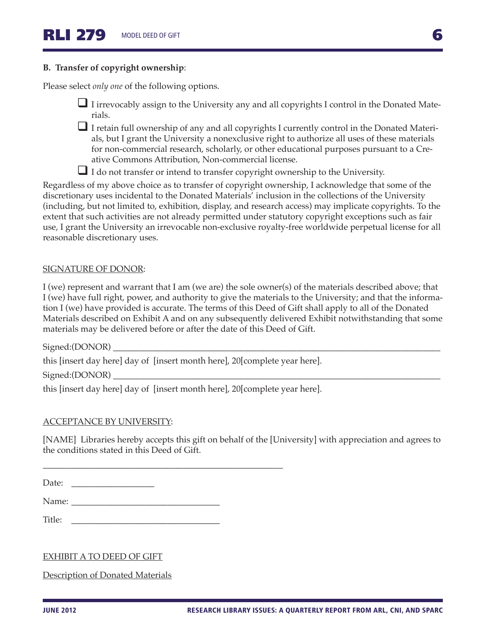#### **B. Transfer of copyright ownership**:

Please select *only one* of the following options.

- I irrevocably assign to the University any and all copyrights I control in the Donated Materials.
- $\Box$  I retain full ownership of any and all copyrights I currently control in the Donated Materials, but I grant the University a nonexclusive right to authorize all uses of these materials for non-commercial research, scholarly, or other educational purposes pursuant to a Creative Commons Attribution, Non-commercial license.
- I do not transfer or intend to transfer copyright ownership to the University.

Regardless of my above choice as to transfer of copyright ownership, I acknowledge that some of the discretionary uses incidental to the Donated Materials' inclusion in the collections of the University (including, but not limited to, exhibition, display, and research access) may implicate copyrights. To the extent that such activities are not already permitted under statutory copyright exceptions such as fair use, I grant the University an irrevocable non-exclusive royalty-free worldwide perpetual license for all reasonable discretionary uses.

#### SIGNATURE OF DONOR:

I (we) represent and warrant that I am (we are) the sole owner(s) of the materials described above; that I (we) have full right, power, and authority to give the materials to the University; and that the information I (we) have provided is accurate. The terms of this Deed of Gift shall apply to all of the Donated Materials described on Exhibit A and on any subsequently delivered Exhibit notwithstanding that some materials may be delivered before or after the date of this Deed of Gift.

Signed:(DONOR)

this [insert day here] day of [insert month here], 20[complete year here].

 $Signal:(DOMOR)$ 

this [insert day here] day of [insert month here], 20[complete year here].

\_\_\_\_\_\_\_\_\_\_\_\_\_\_\_\_\_\_\_\_\_\_\_\_\_\_\_\_\_\_\_\_\_\_\_\_\_\_\_\_\_\_\_\_\_\_\_\_\_\_\_\_\_\_\_

#### ACCEPTANCE BY UNIVERSITY:

[NAME] Libraries hereby accepts this gift on behalf of the [University] with appreciation and agrees to the conditions stated in this Deed of Gift.

Date: \_\_\_\_\_\_\_\_\_\_\_\_\_\_\_\_\_\_\_

Name:

Title: \_\_\_\_\_\_\_\_\_\_\_\_\_\_\_\_\_\_\_\_\_\_\_\_\_\_\_\_\_\_\_\_\_\_

EXHIBIT A TO DEED OF GIFT

Description of Donated Materials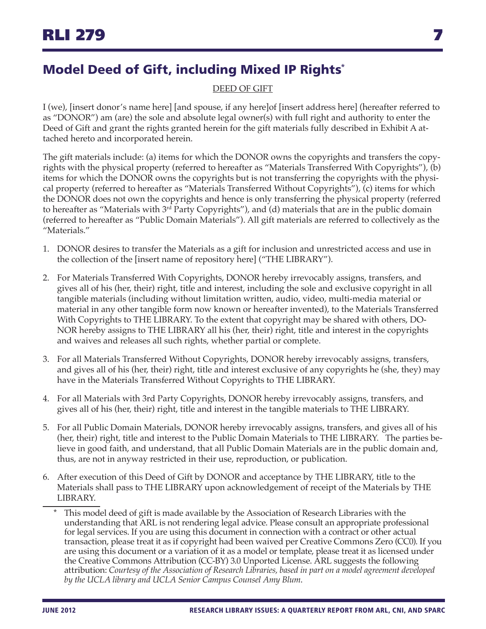# <span id="page-6-0"></span>Model Deed of Gift, including Mixed IP Rights\*

## DEED OF GIFT

I (we), [insert donor's name here] [and spouse, if any here]of [insert address here] (hereafter referred to as "DONOR") am (are) the sole and absolute legal owner(s) with full right and authority to enter the Deed of Gift and grant the rights granted herein for the gift materials fully described in Exhibit A attached hereto and incorporated herein.

The gift materials include: (a) items for which the DONOR owns the copyrights and transfers the copyrights with the physical property (referred to hereafter as "Materials Transferred With Copyrights"), (b) items for which the DONOR owns the copyrights but is not transferring the copyrights with the physical property (referred to hereafter as "Materials Transferred Without Copyrights"), (c) items for which the DONOR does not own the copyrights and hence is only transferring the physical property (referred to hereafter as "Materials with 3<sup>rd</sup> Party Copyrights"), and (d) materials that are in the public domain (referred to hereafter as "Public Domain Materials"). All gift materials are referred to collectively as the "Materials."

- 1. DONOR desires to transfer the Materials as a gift for inclusion and unrestricted access and use in the collection of the [insert name of repository here] ("THE LIBRARY").
- 2. For Materials Transferred With Copyrights, DONOR hereby irrevocably assigns, transfers, and gives all of his (her, their) right, title and interest, including the sole and exclusive copyright in all tangible materials (including without limitation written, audio, video, multi-media material or material in any other tangible form now known or hereafter invented), to the Materials Transferred With Copyrights to THE LIBRARY. To the extent that copyright may be shared with others, DO-NOR hereby assigns to THE LIBRARY all his (her, their) right, title and interest in the copyrights and waives and releases all such rights, whether partial or complete.
- 3. For all Materials Transferred Without Copyrights, DONOR hereby irrevocably assigns, transfers, and gives all of his (her, their) right, title and interest exclusive of any copyrights he (she, they) may have in the Materials Transferred Without Copyrights to THE LIBRARY.
- 4. For all Materials with 3rd Party Copyrights, DONOR hereby irrevocably assigns, transfers, and gives all of his (her, their) right, title and interest in the tangible materials to THE LIBRARY.
- 5. For all Public Domain Materials, DONOR hereby irrevocably assigns, transfers, and gives all of his (her, their) right, title and interest to the Public Domain Materials to THE LIBRARY. The parties believe in good faith, and understand, that all Public Domain Materials are in the public domain and, thus, are not in anyway restricted in their use, reproduction, or publication.
- 6. After execution of this Deed of Gift by DONOR and acceptance by THE LIBRARY, title to the Materials shall pass to THE LIBRARY upon acknowledgement of receipt of the Materials by THE LIBRARY.
	- \* This model deed of gift is made available by the Association of Research Libraries with the understanding that ARL is not rendering legal advice. Please consult an appropriate professional for legal services. If you are using this document in connection with a contract or other actual transaction, please treat it as if copyright had been waived per Creative Commons Zero (CC0). If you are using this document or a variation of it as a model or template, please treat it as licensed under the Creative Commons Attribution (CC-BY) 3.0 Unported License. ARL suggests the following attribution: *Courtesy of the Association of Research Libraries, based in part on a model agreement developed by the UCLA library and UCLA Senior Campus Counsel Amy Blum*.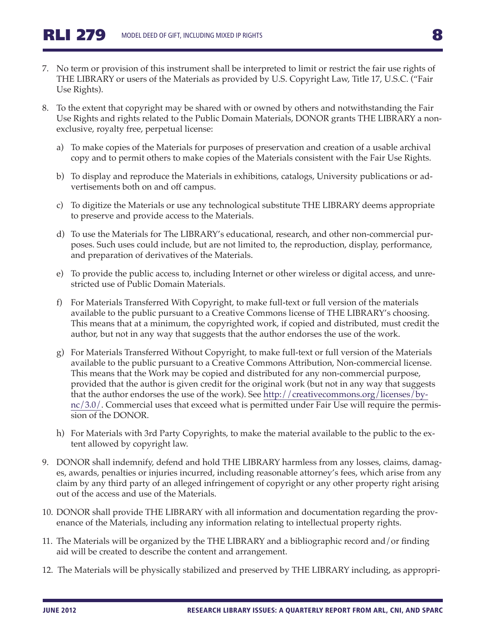- 7. No term or provision of this instrument shall be interpreted to limit or restrict the fair use rights of THE LIBRARY or users of the Materials as provided by U.S. Copyright Law, Title 17, U.S.C. ("Fair Use Rights).
- 8. To the extent that copyright may be shared with or owned by others and notwithstanding the Fair Use Rights and rights related to the Public Domain Materials, DONOR grants THE LIBRARY a nonexclusive, royalty free, perpetual license:
	- a) To make copies of the Materials for purposes of preservation and creation of a usable archival copy and to permit others to make copies of the Materials consistent with the Fair Use Rights.
	- b) To display and reproduce the Materials in exhibitions, catalogs, University publications or advertisements both on and off campus.
	- c) To digitize the Materials or use any technological substitute THE LIBRARY deems appropriate to preserve and provide access to the Materials.
	- d) To use the Materials for The LIBRARY's educational, research, and other non-commercial purposes. Such uses could include, but are not limited to, the reproduction, display, performance, and preparation of derivatives of the Materials.
	- e) To provide the public access to, including Internet or other wireless or digital access, and unrestricted use of Public Domain Materials.
	- f) For Materials Transferred With Copyright, to make full-text or full version of the materials available to the public pursuant to a Creative Commons license of THE LIBRARY's choosing. This means that at a minimum, the copyrighted work, if copied and distributed, must credit the author, but not in any way that suggests that the author endorses the use of the work.
	- g) For Materials Transferred Without Copyright, to make full-text or full version of the Materials available to the public pursuant to a Creative Commons Attribution, Non-commercial license. This means that the Work may be copied and distributed for any non-commercial purpose, provided that the author is given credit for the original work (but not in any way that suggests that the author endorses the use of the work). See [http://creativecommons.org/licenses/by](http://creativecommons.org/licenses/by-nc/3.0/)[nc/3.0/.](http://creativecommons.org/licenses/by-nc/3.0/) Commercial uses that exceed what is permitted under Fair Use will require the permission of the DONOR.
	- h) For Materials with 3rd Party Copyrights, to make the material available to the public to the extent allowed by copyright law.
- 9. DONOR shall indemnify, defend and hold THE LIBRARY harmless from any losses, claims, damages, awards, penalties or injuries incurred, including reasonable attorney's fees, which arise from any claim by any third party of an alleged infringement of copyright or any other property right arising out of the access and use of the Materials.
- 10. DONOR shall provide THE LIBRARY with all information and documentation regarding the provenance of the Materials, including any information relating to intellectual property rights.
- 11. The Materials will be organized by the THE LIBRARY and a bibliographic record and/or finding aid will be created to describe the content and arrangement.
- 12. The Materials will be physically stabilized and preserved by THE LIBRARY including, as appropri-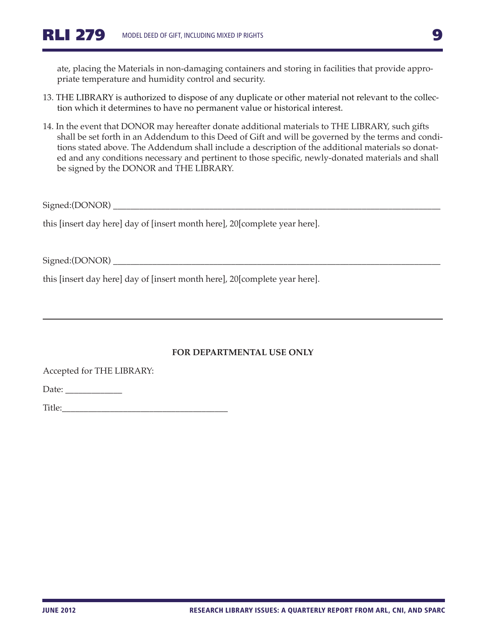ate, placing the Materials in non-damaging containers and storing in facilities that provide appropriate temperature and humidity control and security.

- 13. THE LIBRARY is authorized to dispose of any duplicate or other material not relevant to the collection which it determines to have no permanent value or historical interest.
- 14. In the event that DONOR may hereafter donate additional materials to THE LIBRARY, such gifts shall be set forth in an Addendum to this Deed of Gift and will be governed by the terms and conditions stated above. The Addendum shall include a description of the additional materials so donated and any conditions necessary and pertinent to those specific, newly-donated materials and shall be signed by the DONOR and THE LIBRARY.

Signed:(DONOR)

this [insert day here] day of [insert month here], 20[complete year here].

Signed:(DONOR) \_\_\_\_\_\_\_\_\_\_\_\_\_\_\_\_\_\_\_\_\_\_\_\_\_\_\_\_\_\_\_\_\_\_\_\_\_\_\_\_\_\_\_\_\_\_\_\_\_\_\_\_\_\_\_\_\_\_\_\_\_\_\_\_\_\_\_\_\_\_\_\_\_\_\_

this [insert day here] day of [insert month here], 20[complete year here].

#### **FOR DEPARTMENTAL USE ONLY**

Accepted for THE LIBRARY:

Date: \_\_\_\_\_\_\_\_\_\_\_\_\_

Title: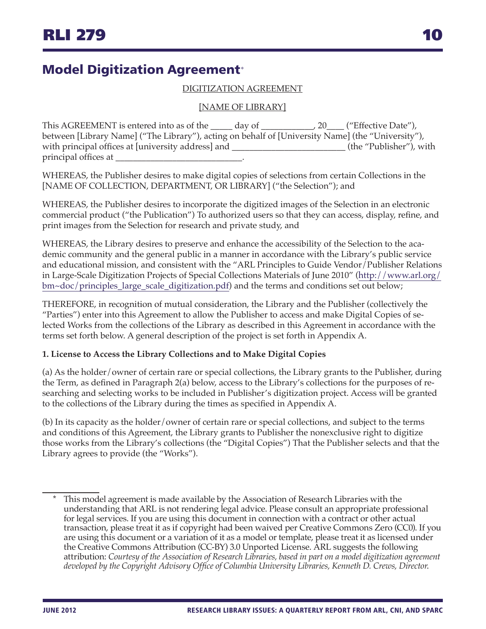# <span id="page-9-0"></span>Model Digitization Agreement<sup>∗</sup>

#### DIGITIZATION AGREEMENT

#### [NAME OF LIBRARY]

This AGREEMENT is entered into as of the \_\_\_\_\_ day of \_\_\_\_\_\_\_\_\_\_\_\_, 20\_\_\_\_ ("Effective Date"), between [Library Name] ("The Library"), acting on behalf of [University Name] (the "University"), with principal offices at [university address] and \_\_\_\_\_\_\_\_\_\_\_\_\_\_\_\_\_\_\_\_\_\_\_\_\_\_\_\_(the "Publisher"), with principal offices at

WHEREAS, the Publisher desires to make digital copies of selections from certain Collections in the [NAME OF COLLECTION, DEPARTMENT, OR LIBRARY] ("the Selection"); and

WHEREAS, the Publisher desires to incorporate the digitized images of the Selection in an electronic commercial product ("the Publication") To authorized users so that they can access, display, refine, and print images from the Selection for research and private study, and

WHEREAS, the Library desires to preserve and enhance the accessibility of the Selection to the academic community and the general public in a manner in accordance with the Library's public service and educational mission, and consistent with the "ARL Principles to Guide Vendor/Publisher Relations in Large-Scale Digitization Projects of Special Collections Materials of June 2010" ([http://www.arl.org/](http://www.arl.org/bm~doc/principles_large_scale_digitization.pdf) [bm~doc/principles\\_large\\_scale\\_digitization.pdf\)](http://www.arl.org/bm~doc/principles_large_scale_digitization.pdf) and the terms and conditions set out below;

THEREFORE, in recognition of mutual consideration, the Library and the Publisher (collectively the "Parties") enter into this Agreement to allow the Publisher to access and make Digital Copies of selected Works from the collections of the Library as described in this Agreement in accordance with the terms set forth below. A general description of the project is set forth in Appendix A.

#### **1. License to Access the Library Collections and to Make Digital Copies**

(a) As the holder/owner of certain rare or special collections, the Library grants to the Publisher, during the Term, as defined in Paragraph 2(a) below, access to the Library's collections for the purposes of researching and selecting works to be included in Publisher's digitization project. Access will be granted to the collections of the Library during the times as specified in Appendix A.

(b) In its capacity as the holder/owner of certain rare or special collections, and subject to the terms and conditions of this Agreement, the Library grants to Publisher the nonexclusive right to digitize those works from the Library's collections (the "Digital Copies") That the Publisher selects and that the Library agrees to provide (the "Works").

This model agreement is made available by the Association of Research Libraries with the understanding that ARL is not rendering legal advice. Please consult an appropriate professional for legal services. If you are using this document in connection with a contract or other actual transaction, please treat it as if copyright had been waived per Creative Commons Zero (CC0). If you are using this document or a variation of it as a model or template, please treat it as licensed under the Creative Commons Attribution (CC-BY) 3.0 Unported License. ARL suggests the following attribution: *Courtesy of the Association of Research Libraries, based in part on a model digitization agreement developed by the Copyright Advisory Office of Columbia University Libraries, Kenneth D. Crews, Director*.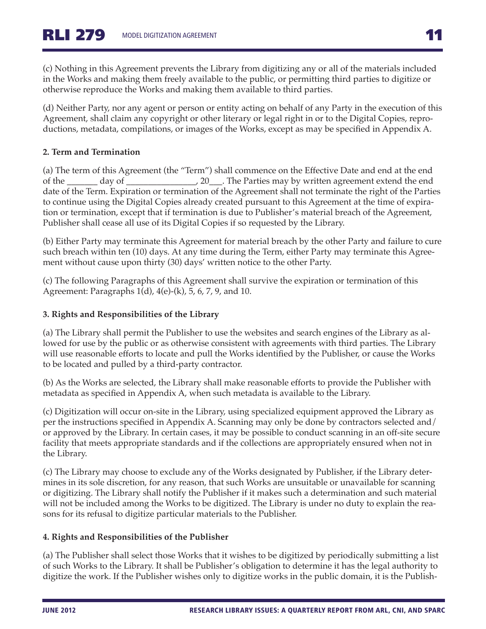(c) Nothing in this Agreement prevents the Library from digitizing any or all of the materials included in the Works and making them freely available to the public, or permitting third parties to digitize or otherwise reproduce the Works and making them available to third parties.

(d) Neither Party, nor any agent or person or entity acting on behalf of any Party in the execution of this Agreement, shall claim any copyright or other literary or legal right in or to the Digital Copies, reproductions, metadata, compilations, or images of the Works, except as may be specified in Appendix A.

#### **2. Term and Termination**

(a) The term of this Agreement (the "Term") shall commence on the Effective Date and end at the end of the \_\_\_\_\_\_\_ day of \_\_\_\_\_\_\_\_\_\_\_\_\_\_\_\_, 20\_\_\_. The Parties may by written agreement extend the end date of the Term. Expiration or termination of the Agreement shall not terminate the right of the Parties to continue using the Digital Copies already created pursuant to this Agreement at the time of expiration or termination, except that if termination is due to Publisher's material breach of the Agreement, Publisher shall cease all use of its Digital Copies if so requested by the Library.

(b) Either Party may terminate this Agreement for material breach by the other Party and failure to cure such breach within ten (10) days. At any time during the Term, either Party may terminate this Agreement without cause upon thirty (30) days' written notice to the other Party.

(c) The following Paragraphs of this Agreement shall survive the expiration or termination of this Agreement: Paragraphs 1(d), 4(e)-(k), 5, 6, 7, 9, and 10.

#### **3. Rights and Responsibilities of the Library**

(a) The Library shall permit the Publisher to use the websites and search engines of the Library as allowed for use by the public or as otherwise consistent with agreements with third parties. The Library will use reasonable efforts to locate and pull the Works identified by the Publisher, or cause the Works to be located and pulled by a third-party contractor.

(b) As the Works are selected, the Library shall make reasonable efforts to provide the Publisher with metadata as specified in Appendix A, when such metadata is available to the Library.

(c) Digitization will occur on-site in the Library, using specialized equipment approved the Library as per the instructions specified in Appendix A. Scanning may only be done by contractors selected and/ or approved by the Library. In certain cases, it may be possible to conduct scanning in an off-site secure facility that meets appropriate standards and if the collections are appropriately ensured when not in the Library.

(c) The Library may choose to exclude any of the Works designated by Publisher, if the Library determines in its sole discretion, for any reason, that such Works are unsuitable or unavailable for scanning or digitizing. The Library shall notify the Publisher if it makes such a determination and such material will not be included among the Works to be digitized. The Library is under no duty to explain the reasons for its refusal to digitize particular materials to the Publisher.

#### **4. Rights and Responsibilities of the Publisher**

(a) The Publisher shall select those Works that it wishes to be digitized by periodically submitting a list of such Works to the Library. It shall be Publisher's obligation to determine it has the legal authority to digitize the work. If the Publisher wishes only to digitize works in the public domain, it is the Publish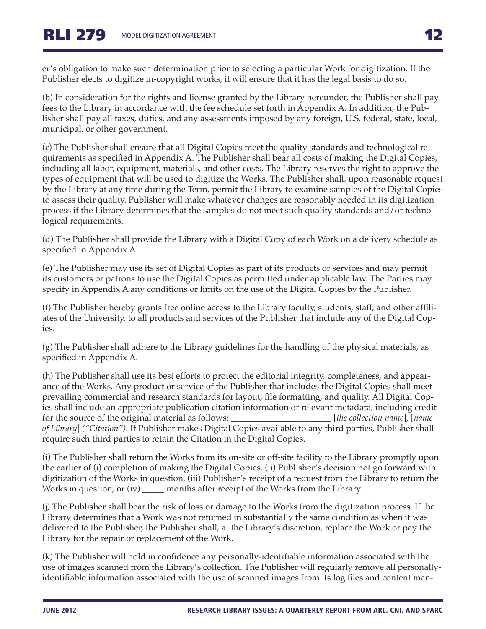er's obligation to make such determination prior to selecting a particular Work for digitization. If the Publisher elects to digitize in-copyright works, it will ensure that it has the legal basis to do so.

(b) In consideration for the rights and license granted by the Library hereunder, the Publisher shall pay fees to the Library in accordance with the fee schedule set forth in Appendix A. In addition, the Publisher shall pay all taxes, duties, and any assessments imposed by any foreign, U.S. federal, state, local, municipal, or other government.

(c) The Publisher shall ensure that all Digital Copies meet the quality standards and technological requirements as specified in Appendix A. The Publisher shall bear all costs of making the Digital Copies, including all labor, equipment, materials, and other costs. The Library reserves the right to approve the types of equipment that will be used to digitize the Works. The Publisher shall, upon reasonable request by the Library at any time during the Term, permit the Library to examine samples of the Digital Copies to assess their quality. Publisher will make whatever changes are reasonably needed in its digitization process if the Library determines that the samples do not meet such quality standards and/or technological requirements.

(d) The Publisher shall provide the Library with a Digital Copy of each Work on a delivery schedule as specified in Appendix A.

(e) The Publisher may use its set of Digital Copies as part of its products or services and may permit its customers or patrons to use the Digital Copies as permitted under applicable law. The Parties may specify in Appendix A any conditions or limits on the use of the Digital Copies by the Publisher.

(f) The Publisher hereby grants free online access to the Library faculty, students, staff, and other affiliates of the University, to all products and services of the Publisher that include any of the Digital Copies.

(g) The Publisher shall adhere to the Library guidelines for the handling of the physical materials, as specified in Appendix A.

(h) The Publisher shall use its best efforts to protect the editorial integrity, completeness, and appearance of the Works. Any product or service of the Publisher that includes the Digital Copies shall meet prevailing commercial and research standards for layout, file formatting, and quality. All Digital Copies shall include an appropriate publication citation information or relevant metadata, including credit for the source of the original material as follows: \_\_\_\_\_\_\_\_\_\_\_\_\_\_\_\_\_\_\_\_\_\_\_ [*the collection name*]*,* [*name of Library*] *("Citation")*. If Publisher makes Digital Copies available to any third parties, Publisher shall require such third parties to retain the Citation in the Digital Copies.

(i) The Publisher shall return the Works from its on-site or off-site facility to the Library promptly upon the earlier of (i) completion of making the Digital Copies, (ii) Publisher's decision not go forward with digitization of the Works in question, (iii) Publisher's receipt of a request from the Library to return the Works in question, or (iv) \_\_\_\_\_\_ months after receipt of the Works from the Library.

(j) The Publisher shall bear the risk of loss or damage to the Works from the digitization process. If the Library determines that a Work was not returned in substantially the same condition as when it was delivered to the Publisher, the Publisher shall, at the Library's discretion, replace the Work or pay the Library for the repair or replacement of the Work.

(k) The Publisher will hold in confidence any personally-identifiable information associated with the use of images scanned from the Library's collection. The Publisher will regularly remove all personallyidentifiable information associated with the use of scanned images from its log files and content man-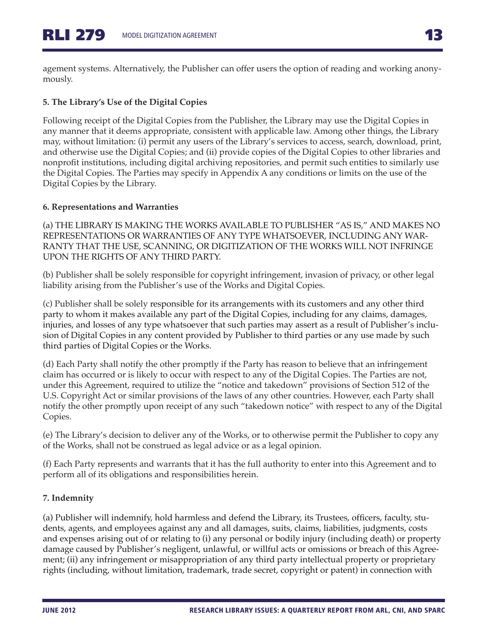agement systems. Alternatively, the Publisher can offer users the option of reading and working anonymously.

## **5. The Library's Use of the Digital Copies**

Following receipt of the Digital Copies from the Publisher, the Library may use the Digital Copies in any manner that it deems appropriate, consistent with applicable law. Among other things, the Library may, without limitation: (i) permit any users of the Library's services to access, search, download, print, and otherwise use the Digital Copies; and (ii) provide copies of the Digital Copies to other libraries and nonprofit institutions, including digital archiving repositories, and permit such entities to similarly use the Digital Copies. The Parties may specify in Appendix A any conditions or limits on the use of the Digital Copies by the Library.

## **6. Representations and Warranties**

(a) THE LIBRARY IS MAKING THE WORKS AVAILABLE TO PUBLISHER "AS IS," AND MAKES NO REPRESENTATIONS OR WARRANTIES OF ANY TYPE WHATSOEVER, INCLUDING ANY WAR-RANTY THAT THE USE, SCANNING, OR DIGITIZATION OF THE WORKS WILL NOT INFRINGE UPON THE RIGHTS OF ANY THIRD PARTY.

(b) Publisher shall be solely responsible for copyright infringement, invasion of privacy, or other legal liability arising from the Publisher's use of the Works and Digital Copies.

(c) Publisher shall be solely responsible for its arrangements with its customers and any other third party to whom it makes available any part of the Digital Copies, including for any claims, damages, injuries, and losses of any type whatsoever that such parties may assert as a result of Publisher's inclusion of Digital Copies in any content provided by Publisher to third parties or any use made by such third parties of Digital Copies or the Works.

(d) Each Party shall notify the other promptly if the Party has reason to believe that an infringement claim has occurred or is likely to occur with respect to any of the Digital Copies. The Parties are not, under this Agreement, required to utilize the "notice and takedown" provisions of Section 512 of the U.S. Copyright Act or similar provisions of the laws of any other countries. However, each Party shall notify the other promptly upon receipt of any such "takedown notice" with respect to any of the Digital Copies.

(e) The Library's decision to deliver any of the Works, or to otherwise permit the Publisher to copy any of the Works, shall not be construed as legal advice or as a legal opinion.

(f) Each Party represents and warrants that it has the full authority to enter into this Agreement and to perform all of its obligations and responsibilities herein.

## **7. Indemnity**

(a) Publisher will indemnify, hold harmless and defend the Library, its Trustees, officers, faculty, students, agents, and employees against any and all damages, suits, claims, liabilities, judgments, costs and expenses arising out of or relating to (i) any personal or bodily injury (including death) or property damage caused by Publisher's negligent, unlawful, or willful acts or omissions or breach of this Agreement; (ii) any infringement or misappropriation of any third party intellectual property or proprietary rights (including, without limitation, trademark, trade secret, copyright or patent) in connection with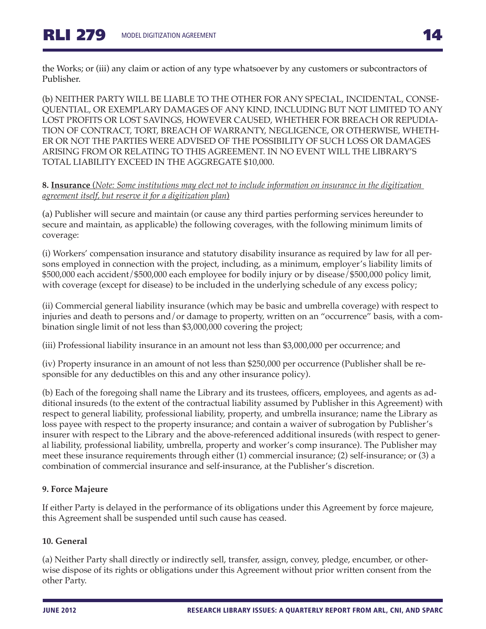the Works; or (iii) any claim or action of any type whatsoever by any customers or subcontractors of Publisher.

(b) NEITHER PARTY WILL BE LIABLE TO THE OTHER FOR ANY SPECIAL, INCIDENTAL, CONSE-QUENTIAL, OR EXEMPLARY DAMAGES OF ANY KIND, INCLUDING BUT NOT LIMITED TO ANY LOST PROFITS OR LOST SAVINGS, HOWEVER CAUSED, WHETHER FOR BREACH OR REPUDIA-TION OF CONTRACT, TORT, BREACH OF WARRANTY, NEGLIGENCE, OR OTHERWISE, WHETH-ER OR NOT THE PARTIES WERE ADVISED OF THE POSSIBILITY OF SUCH LOSS OR DAMAGES ARISING FROM OR RELATING TO THIS AGREEMENT. IN NO EVENT WILL THE LIBRARY'S TOTAL LIABILITY EXCEED IN THE AGGREGATE \$10,000.

#### **8. Insurance** (*Note: Some institutions may elect not to include information on insurance in the digitization agreement itself, but reserve it for a digitization plan*)

(a) Publisher will secure and maintain (or cause any third parties performing services hereunder to secure and maintain, as applicable) the following coverages, with the following minimum limits of coverage:

(i) Workers' compensation insurance and statutory disability insurance as required by law for all persons employed in connection with the project, including, as a minimum, employer's liability limits of \$500,000 each accident/\$500,000 each employee for bodily injury or by disease/\$500,000 policy limit, with coverage (except for disease) to be included in the underlying schedule of any excess policy;

(ii) Commercial general liability insurance (which may be basic and umbrella coverage) with respect to injuries and death to persons and/or damage to property, written on an "occurrence" basis, with a combination single limit of not less than \$3,000,000 covering the project;

(iii) Professional liability insurance in an amount not less than \$3,000,000 per occurrence; and

(iv) Property insurance in an amount of not less than \$250,000 per occurrence (Publisher shall be responsible for any deductibles on this and any other insurance policy).

(b) Each of the foregoing shall name the Library and its trustees, officers, employees, and agents as additional insureds (to the extent of the contractual liability assumed by Publisher in this Agreement) with respect to general liability, professional liability, property, and umbrella insurance; name the Library as loss payee with respect to the property insurance; and contain a waiver of subrogation by Publisher's insurer with respect to the Library and the above-referenced additional insureds (with respect to general liability, professional liability, umbrella, property and worker's comp insurance). The Publisher may meet these insurance requirements through either (1) commercial insurance; (2) self-insurance; or (3) a combination of commercial insurance and self-insurance, at the Publisher's discretion.

## **9. Force Majeure**

If either Party is delayed in the performance of its obligations under this Agreement by force majeure, this Agreement shall be suspended until such cause has ceased.

## **10. General**

(a) Neither Party shall directly or indirectly sell, transfer, assign, convey, pledge, encumber, or otherwise dispose of its rights or obligations under this Agreement without prior written consent from the other Party.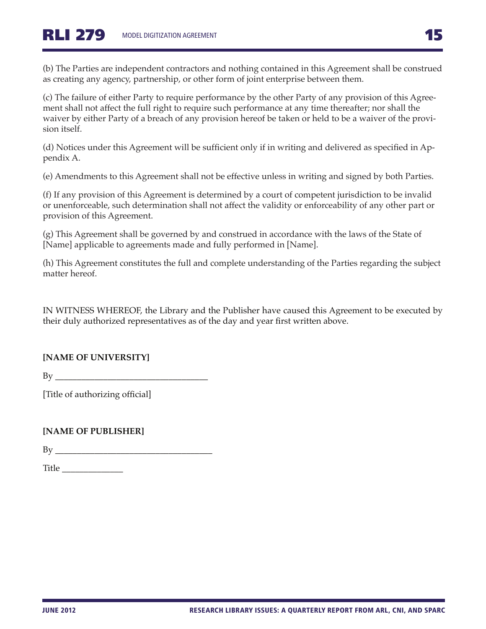(b) The Parties are independent contractors and nothing contained in this Agreement shall be construed as creating any agency, partnership, or other form of joint enterprise between them.

(c) The failure of either Party to require performance by the other Party of any provision of this Agreement shall not affect the full right to require such performance at any time thereafter; nor shall the waiver by either Party of a breach of any provision hereof be taken or held to be a waiver of the provision itself.

(d) Notices under this Agreement will be sufficient only if in writing and delivered as specified in Appendix A.

(e) Amendments to this Agreement shall not be effective unless in writing and signed by both Parties.

(f) If any provision of this Agreement is determined by a court of competent jurisdiction to be invalid or unenforceable, such determination shall not affect the validity or enforceability of any other part or provision of this Agreement.

(g) This Agreement shall be governed by and construed in accordance with the laws of the State of [Name] applicable to agreements made and fully performed in [Name].

(h) This Agreement constitutes the full and complete understanding of the Parties regarding the subject matter hereof.

IN WITNESS WHEREOF, the Library and the Publisher have caused this Agreement to be executed by their duly authorized representatives as of the day and year first written above.

## **[NAME OF UNIVERSITY]**

 $By \_\_$ 

[Title of authorizing official]

## **[NAME OF PUBLISHER]**

 $\rm\,By\,\,$ 

Title  $\Box$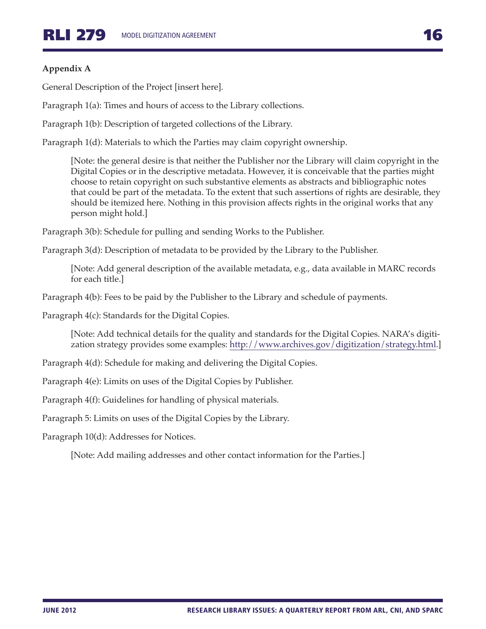## **Appendix A**

General Description of the Project [insert here].

Paragraph 1(a): Times and hours of access to the Library collections.

Paragraph 1(b): Description of targeted collections of the Library.

Paragraph 1(d): Materials to which the Parties may claim copyright ownership.

[Note: the general desire is that neither the Publisher nor the Library will claim copyright in the Digital Copies or in the descriptive metadata. However, it is conceivable that the parties might choose to retain copyright on such substantive elements as abstracts and bibliographic notes that could be part of the metadata. To the extent that such assertions of rights are desirable, they should be itemized here. Nothing in this provision affects rights in the original works that any person might hold.]

Paragraph 3(b): Schedule for pulling and sending Works to the Publisher.

Paragraph 3(d): Description of metadata to be provided by the Library to the Publisher.

[Note: Add general description of the available metadata, e.g., data available in MARC records for each title.]

Paragraph 4(b): Fees to be paid by the Publisher to the Library and schedule of payments.

Paragraph 4(c): Standards for the Digital Copies.

[Note: Add technical details for the quality and standards for the Digital Copies. NARA's digitization strategy provides some examples: [http://www.archives.gov/digitization/strategy.html.](http://www.archives.gov/digitization/strategy.html)]

Paragraph 4(d): Schedule for making and delivering the Digital Copies.

Paragraph 4(e): Limits on uses of the Digital Copies by Publisher.

Paragraph 4(f): Guidelines for handling of physical materials.

Paragraph 5: Limits on uses of the Digital Copies by the Library.

Paragraph 10(d): Addresses for Notices.

[Note: Add mailing addresses and other contact information for the Parties.]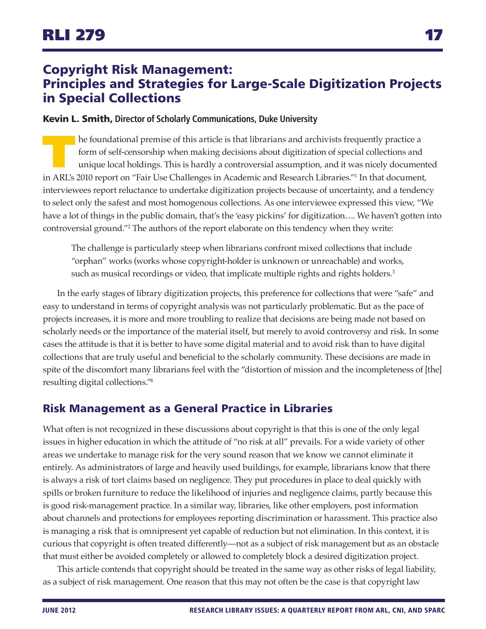# <span id="page-16-0"></span>Copyright Risk Management: Principles and Strategies for Large-Scale Digitization Projects in Special Collections

#### Kevin L. Smith, **Director of Scholarly Communications, Duke University**

The foundational premise of this article is that librarians and archivists frequently practice a<br>form of self-censorship when making decisions about digitization of special collections and<br>unique local holdings. This is ha form of self-censorship when making decisions about digitization of special collections and unique local holdings. This is hardly a controversial assumption, and it was nicely documented in ARL's 2010 report on "Fair Use Challenges in Academic and Research Libraries.["1](#page-21-0) In that document, interviewees report reluctance to undertake digitization projects because of uncertainty, and a tendency to select only the safest and most homogenous collections. As one interviewee expressed this view, "We have a lot of things in the public domain, that's the 'easy pickins' for digitization…. We haven't gotten into controversial ground.["2](#page-21-1) The authors of the report elaborate on this tendency when they write:

The challenge is particularly steep when librarians confront mixed collections that include "orphan" works (works whose copyright-holder is unknown or unreachable) and works, such as musical recordings or video, that implicate multiple rights and rights holders.<sup>3</sup>

In the early stages of library digitization projects, this preference for collections that were "safe" and easy to understand in terms of copyright analysis was not particularly problematic. But as the pace of projects increases, it is more and more troubling to realize that decisions are being made not based on scholarly needs or the importance of the material itself, but merely to avoid controversy and risk. In some cases the attitude is that it is better to have some digital material and to avoid risk than to have digital collections that are truly useful and beneficial to the scholarly community. These decisions are made in spite of the discomfort many librarians feel with the "distortion of mission and the incompleteness of [the] resulting digital collections.["4](#page-21-3)

## Risk Management as a General Practice in Libraries

What often is not recognized in these discussions about copyright is that this is one of the only legal issues in higher education in which the attitude of "no risk at all" prevails. For a wide variety of other areas we undertake to manage risk for the very sound reason that we know we cannot eliminate it entirely. As administrators of large and heavily used buildings, for example, librarians know that there is always a risk of tort claims based on negligence. They put procedures in place to deal quickly with spills or broken furniture to reduce the likelihood of injuries and negligence claims, partly because this is good risk-management practice. In a similar way, libraries, like other employers, post information about channels and protections for employees reporting discrimination or harassment. This practice also is managing a risk that is omnipresent yet capable of reduction but not elimination. In this context, it is curious that copyright is often treated differently—not as a subject of risk management but as an obstacle that must either be avoided completely or allowed to completely block a desired digitization project.

This article contends that copyright should be treated in the same way as other risks of legal liability, as a subject of risk management. One reason that this may not often be the case is that copyright law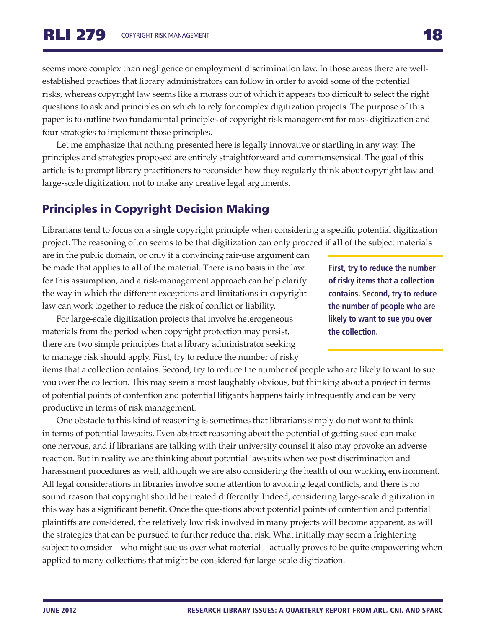seems more complex than negligence or employment discrimination law. In those areas there are wellestablished practices that library administrators can follow in order to avoid some of the potential risks, whereas copyright law seems like a morass out of which it appears too difficult to select the right questions to ask and principles on which to rely for complex digitization projects. The purpose of this paper is to outline two fundamental principles of copyright risk management for mass digitization and four strategies to implement those principles.

Let me emphasize that nothing presented here is legally innovative or startling in any way. The principles and strategies proposed are entirely straightforward and commonsensical. The goal of this article is to prompt library practitioners to reconsider how they regularly think about copyright law and large-scale digitization, not to make any creative legal arguments.

# Principles in Copyright Decision Making

Librarians tend to focus on a single copyright principle when considering a specific potential digitization project. The reasoning often seems to be that digitization can only proceed if **all** of the subject materials

are in the public domain, or only if a convincing fair-use argument can be made that applies to **all** of the material. There is no basis in the law for this assumption, and a risk-management approach can help clarify the way in which the different exceptions and limitations in copyright law can work together to reduce the risk of conflict or liability.

For large-scale digitization projects that involve heterogeneous materials from the period when copyright protection may persist, there are two simple principles that a library administrator seeking to manage risk should apply. First, try to reduce the number of risky

items that a collection contains. Second, try to reduce the number of people who are likely to want to sue you over the collection. This may seem almost laughably obvious, but thinking about a project in terms of potential points of contention and potential litigants happens fairly infrequently and can be very productive in terms of risk management.

One obstacle to this kind of reasoning is sometimes that librarians simply do not want to think in terms of potential lawsuits. Even abstract reasoning about the potential of getting sued can make one nervous, and if librarians are talking with their university counsel it also may provoke an adverse reaction. But in reality we are thinking about potential lawsuits when we post discrimination and harassment procedures as well, although we are also considering the health of our working environment. All legal considerations in libraries involve some attention to avoiding legal conflicts, and there is no sound reason that copyright should be treated differently. Indeed, considering large-scale digitization in this way has a significant benefit. Once the questions about potential points of contention and potential plaintiffs are considered, the relatively low risk involved in many projects will become apparent, as will the strategies that can be pursued to further reduce that risk. What initially may seem a frightening subject to consider—who might sue us over what material—actually proves to be quite empowering when applied to many collections that might be considered for large-scale digitization.

**First, try to reduce the number of risky items that a collection contains. Second, try to reduce the number of people who are likely to want to sue you over the collection.**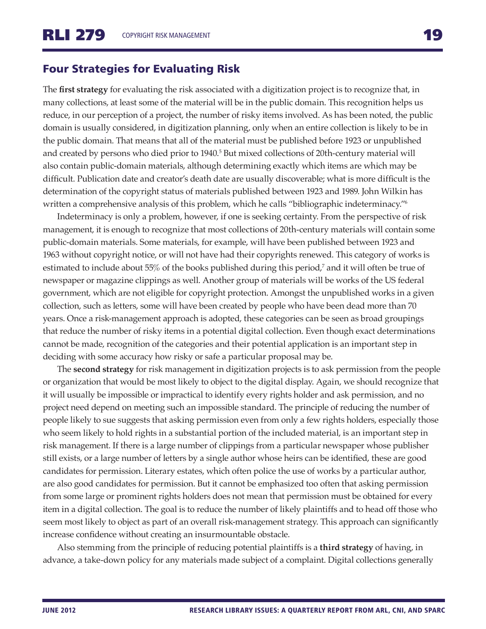## Four Strategies for Evaluating Risk

The **first strategy** for evaluating the risk associated with a digitization project is to recognize that, in many collections, at least some of the material will be in the public domain. This recognition helps us reduce, in our perception of a project, the number of risky items involved. As has been noted, the public domain is usually considered, in digitization planning, only when an entire collection is likely to be in the public domain. That means that all of the material must be published before 1923 or unpublished and created by persons who died prior to 1940.<sup>5</sup> But mixed collections of 20th-century material will also contain public-domain materials, although determining exactly which items are which may be difficult. Publication date and creator's death date are usually discoverable; what is more difficult is the determination of the copyright status of materials published between 1923 and 1989. John Wilkin has written a comprehensive analysis of this problem, which he calls "bibliographic indeterminacy."<sup>6</sup>

Indeterminacy is only a problem, however, if one is seeking certainty. From the perspective of risk management, it is enough to recognize that most collections of 20th-century materials will contain some public-domain materials. Some materials, for example, will have been published between 1923 and 1963 without copyright notice, or will not have had their copyrights renewed. This category of works is estimated to include about 55% of the books published during this period,<sup>7</sup> and it will often be true of newspaper or magazine clippings as well. Another group of materials will be works of the US federal government, which are not eligible for copyright protection. Amongst the unpublished works in a given collection, such as letters, some will have been created by people who have been dead more than 70 years. Once a risk-management approach is adopted, these categories can be seen as broad groupings that reduce the number of risky items in a potential digital collection. Even though exact determinations cannot be made, recognition of the categories and their potential application is an important step in deciding with some accuracy how risky or safe a particular proposal may be.

The **second strategy** for risk management in digitization projects is to ask permission from the people or organization that would be most likely to object to the digital display. Again, we should recognize that it will usually be impossible or impractical to identify every rights holder and ask permission, and no project need depend on meeting such an impossible standard. The principle of reducing the number of people likely to sue suggests that asking permission even from only a few rights holders, especially those who seem likely to hold rights in a substantial portion of the included material, is an important step in risk management. If there is a large number of clippings from a particular newspaper whose publisher still exists, or a large number of letters by a single author whose heirs can be identified, these are good candidates for permission. Literary estates, which often police the use of works by a particular author, are also good candidates for permission. But it cannot be emphasized too often that asking permission from some large or prominent rights holders does not mean that permission must be obtained for every item in a digital collection. The goal is to reduce the number of likely plaintiffs and to head off those who seem most likely to object as part of an overall risk-management strategy. This approach can significantly increase confidence without creating an insurmountable obstacle.

Also stemming from the principle of reducing potential plaintiffs is a **third strategy** of having, in advance, a take-down policy for any materials made subject of a complaint. Digital collections generally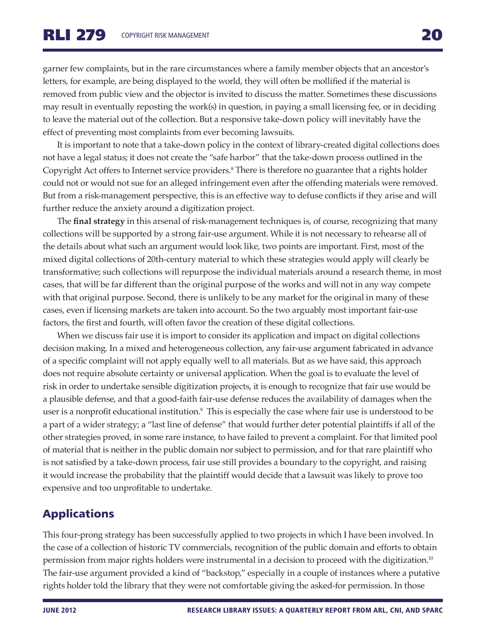garner few complaints, but in the rare circumstances where a family member objects that an ancestor's letters, for example, are being displayed to the world, they will often be mollified if the material is removed from public view and the objector is invited to discuss the matter. Sometimes these discussions may result in eventually reposting the work(s) in question, in paying a small licensing fee, or in deciding to leave the material out of the collection. But a responsive take-down policy will inevitably have the effect of preventing most complaints from ever becoming lawsuits.

It is important to note that a take-down policy in the context of library-created digital collections does not have a legal status; it does not create the "safe harbor" that the take-down process outlined in the Copyright Act offers to Internet service providers[.8](#page-22-3) There is therefore no guarantee that a rights holder could not or would not sue for an alleged infringement even after the offending materials were removed. But from a risk-management perspective, this is an effective way to defuse conflicts if they arise and will further reduce the anxiety around a digitization project.

The **final strategy** in this arsenal of risk-management techniques is, of course, recognizing that many collections will be supported by a strong fair-use argument. While it is not necessary to rehearse all of the details about what such an argument would look like, two points are important. First, most of the mixed digital collections of 20th-century material to which these strategies would apply will clearly be transformative; such collections will repurpose the individual materials around a research theme, in most cases, that will be far different than the original purpose of the works and will not in any way compete with that original purpose. Second, there is unlikely to be any market for the original in many of these cases, even if licensing markets are taken into account. So the two arguably most important fair-use factors, the first and fourth, will often favor the creation of these digital collections.

When we discuss fair use it is import to consider its application and impact on digital collections decision making. In a mixed and heterogeneous collection, any fair-use argument fabricated in advance of a specific complaint will not apply equally well to all materials. But as we have said, this approach does not require absolute certainty or universal application. When the goal is to evaluate the level of risk in order to undertake sensible digitization projects, it is enough to recognize that fair use would be a plausible defense, and that a good-faith fair-use defense reduces the availability of damages when the user is a nonprofit educational institution.[9](#page-22-4) This is especially the case where fair use is understood to be a part of a wider strategy; a "last line of defense" that would further deter potential plaintiffs if all of the other strategies proved, in some rare instance, to have failed to prevent a complaint. For that limited pool of material that is neither in the public domain nor subject to permission, and for that rare plaintiff who is not satisfied by a take-down process, fair use still provides a boundary to the copyright, and raising it would increase the probability that the plaintiff would decide that a lawsuit was likely to prove too expensive and too unprofitable to undertake.

# Applications

This four-prong strategy has been successfully applied to two projects in which I have been involved. In the case of a collection of historic TV commercials, recognition of the public domain and efforts to obtain permission from major rights holders were instrumental in a decision to proceed with the digitization[.10](#page-22-5) The fair-use argument provided a kind of "backstop," especially in a couple of instances where a putative rights holder told the library that they were not comfortable giving the asked-for permission. In those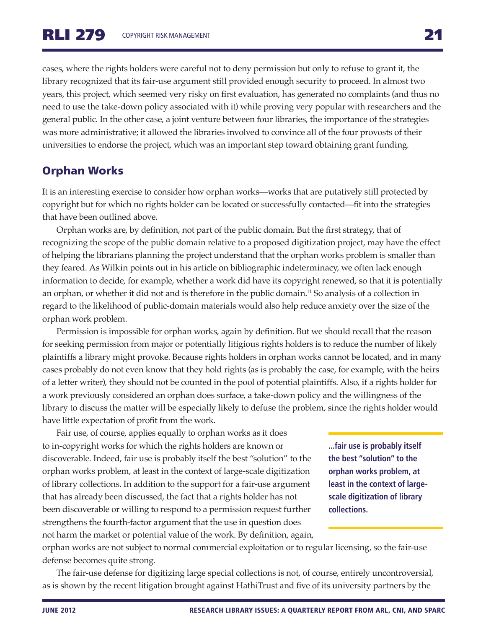cases, where the rights holders were careful not to deny permission but only to refuse to grant it, the library recognized that its fair-use argument still provided enough security to proceed. In almost two years, this project, which seemed very risky on first evaluation, has generated no complaints (and thus no need to use the take-down policy associated with it) while proving very popular with researchers and the general public. In the other case, a joint venture between four libraries, the importance of the strategies was more administrative; it allowed the libraries involved to convince all of the four provosts of their universities to endorse the project, which was an important step toward obtaining grant funding.

## Orphan Works

It is an interesting exercise to consider how orphan works—works that are putatively still protected by copyright but for which no rights holder can be located or successfully contacted—fit into the strategies that have been outlined above.

Orphan works are, by definition, not part of the public domain. But the first strategy, that of recognizing the scope of the public domain relative to a proposed digitization project, may have the effect of helping the librarians planning the project understand that the orphan works problem is smaller than they feared. As Wilkin points out in his article on bibliographic indeterminacy, we often lack enough information to decide, for example, whether a work did have its copyright renewed, so that it is potentially an orphan, or whether it did not and is therefore in the public domain.<sup>11</sup> So analysis of a collection in regard to the likelihood of public-domain materials would also help reduce anxiety over the size of the orphan work problem.

Permission is impossible for orphan works, again by definition. But we should recall that the reason for seeking permission from major or potentially litigious rights holders is to reduce the number of likely plaintiffs a library might provoke. Because rights holders in orphan works cannot be located, and in many cases probably do not even know that they hold rights (as is probably the case, for example, with the heirs of a letter writer), they should not be counted in the pool of potential plaintiffs. Also, if a rights holder for a work previously considered an orphan does surface, a take-down policy and the willingness of the library to discuss the matter will be especially likely to defuse the problem, since the rights holder would have little expectation of profit from the work.

Fair use, of course, applies equally to orphan works as it does to in-copyright works for which the rights holders are known or discoverable. Indeed, fair use is probably itself the best "solution" to the orphan works problem, at least in the context of large-scale digitization of library collections. In addition to the support for a fair-use argument that has already been discussed, the fact that a rights holder has not been discoverable or willing to respond to a permission request further strengthens the fourth-factor argument that the use in question does not harm the market or potential value of the work. By definition, again,

**...fair use is probably itself the best "solution" to the orphan works problem, at least in the context of largescale digitization of library collections.**

orphan works are not subject to normal commercial exploitation or to regular licensing, so the fair-use defense becomes quite strong.

The fair-use defense for digitizing large special collections is not, of course, entirely uncontroversial, as is shown by the recent litigation brought against HathiTrust and five of its university partners by the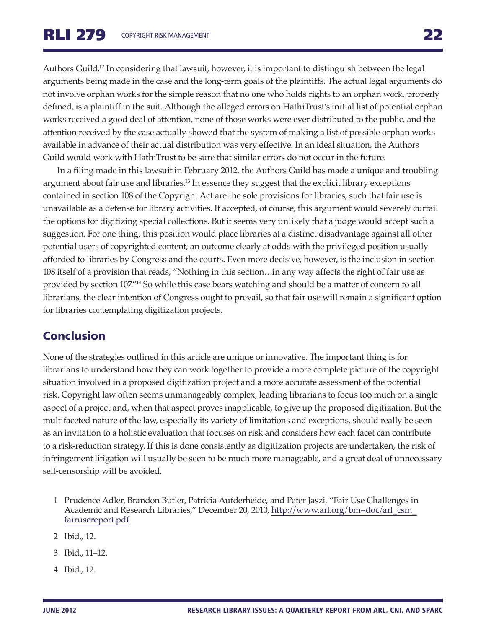Authors Guild[.12](#page-22-7) In considering that lawsuit, however, it is important to distinguish between the legal arguments being made in the case and the long-term goals of the plaintiffs. The actual legal arguments do not involve orphan works for the simple reason that no one who holds rights to an orphan work, properly defined, is a plaintiff in the suit. Although the alleged errors on HathiTrust's initial list of potential orphan works received a good deal of attention, none of those works were ever distributed to the public, and the attention received by the case actually showed that the system of making a list of possible orphan works available in advance of their actual distribution was very effective. In an ideal situation, the Authors Guild would work with HathiTrust to be sure that similar errors do not occur in the future.

In a filing made in this lawsuit in February 2012, the Authors Guild has made a unique and troubling argument about fair use and libraries.<sup>13</sup> In essence they suggest that the explicit library exceptions contained in section 108 of the Copyright Act are the sole provisions for libraries, such that fair use is unavailable as a defense for library activities. If accepted, of course, this argument would severely curtail the options for digitizing special collections. But it seems very unlikely that a judge would accept such a suggestion. For one thing, this position would place libraries at a distinct disadvantage against all other potential users of copyrighted content, an outcome clearly at odds with the privileged position usually afforded to libraries by Congress and the courts. Even more decisive, however, is the inclusion in section 108 itself of a provision that reads, "Nothing in this section…in any way affects the right of fair use as provided by section 107.["14](#page-22-9) So while this case bears watching and should be a matter of concern to all librarians, the clear intention of Congress ought to prevail, so that fair use will remain a significant option for libraries contemplating digitization projects.

# Conclusion

None of the strategies outlined in this article are unique or innovative. The important thing is for librarians to understand how they can work together to provide a more complete picture of the copyright situation involved in a proposed digitization project and a more accurate assessment of the potential risk. Copyright law often seems unmanageably complex, leading librarians to focus too much on a single aspect of a project and, when that aspect proves inapplicable, to give up the proposed digitization. But the multifaceted nature of the law, especially its variety of limitations and exceptions, should really be seen as an invitation to a holistic evaluation that focuses on risk and considers how each facet can contribute to a risk-reduction strategy. If this is done consistently as digitization projects are undertaken, the risk of infringement litigation will usually be seen to be much more manageable, and a great deal of unnecessary self-censorship will be avoided.

- <span id="page-21-0"></span>1 Prudence Adler, Brandon Butler, Patricia Aufderheide, and Peter Jaszi, "Fair Use Challenges in Academic and Research Libraries," December 20, 2010, [http://www.arl.org/bm~doc/arl\\_csm\\_](http://www.arl.org/bm~doc/arl_csm_fairusereport.pdf) [fairusereport.pdf.](http://www.arl.org/bm~doc/arl_csm_fairusereport.pdf)
- <span id="page-21-1"></span>2 Ibid., 12.
- <span id="page-21-2"></span>3 Ibid., 11–12.
- <span id="page-21-3"></span>4 Ibid., 12.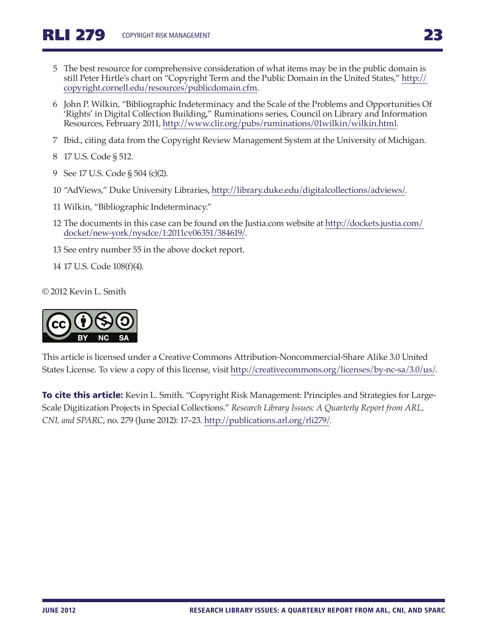- <span id="page-22-0"></span>5 The best resource for comprehensive consideration of what items may be in the public domain is still Peter Hirtle's chart on "Copyright Term and the Public Domain in the United States," [http://](http://copyright.cornell.edu/resources/publicdomain.cfm) [copyright.cornell.edu/resources/publicdomain.cfm](http://copyright.cornell.edu/resources/publicdomain.cfm).
- <span id="page-22-1"></span>6 John P. Wilkin, "Bibliographic Indeterminacy and the Scale of the Problems and Opportunities Of 'Rights' in Digital Collection Building," Ruminations series, Council on Library and Information Resources, February 2011, [http://www.clir.org/pubs/ruminations/01wilkin/wilkin.html.](http://www.clir.org/pubs/ruminations/01wilkin/wilkin.html)
- <span id="page-22-2"></span>7 Ibid., citing data from the Copyright Review Management System at the University of Michigan.
- <span id="page-22-3"></span>8 17 U.S. Code § 512.
- <span id="page-22-4"></span>9 See 17 U.S. Code § 504 (c)(2).
- <span id="page-22-5"></span>10 "AdViews," Duke University Libraries,<http://library.duke.edu/digitalcollections/adviews/>.
- <span id="page-22-6"></span>11 Wilkin, "Bibliographic Indeterminacy."
- <span id="page-22-7"></span>12 The documents in this case can be found on the Justia.com website at [http://dockets.justia.com/](http://dockets.justia.com/docket/new-york/nysdce/1:2011cv06351/384619/) [docket/new-york/nysdce/1:2011cv06351/384619/.](http://dockets.justia.com/docket/new-york/nysdce/1:2011cv06351/384619/)
- <span id="page-22-8"></span>13 See entry number 55 in the above docket report.
- <span id="page-22-9"></span>14 17 U.S. Code 108(f)(4).

© 2012 Kevin L. Smith



This article is licensed under a Creative Commons Attribution-Noncommercial-Share Alike 3.0 United States License. To view a copy of this license, visit <http://creativecommons.org/licenses/by-nc-sa/3.0/us/>.

**To cite this article:** Kevin L. Smith. "Copyright Risk Management: Principles and Strategies for Large-Scale Digitization Projects in Special Collections." *Research Library Issues: A Quarterly Report from ARL, CNI, and SPARC*, no. 279 (June 2012): 17–23.<http://publications.arl.org/rli279/>.